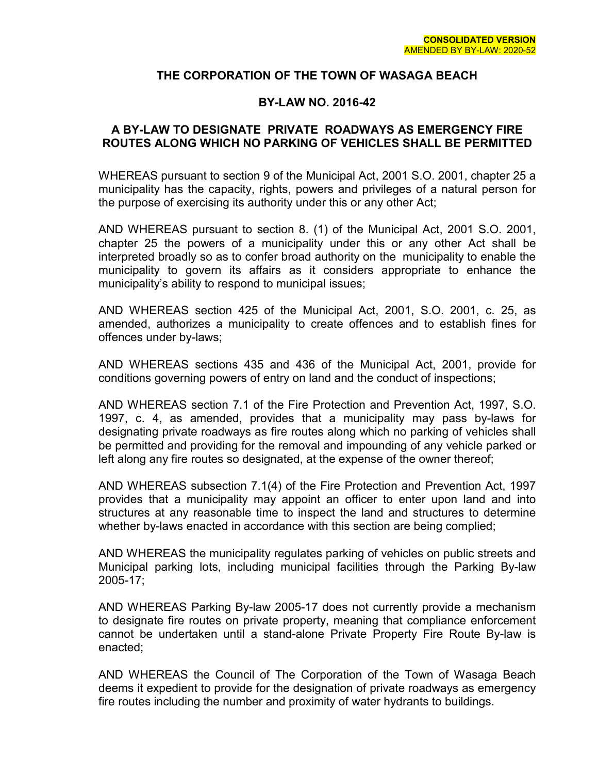### **THE CORPORATION OF THE TOWN OF WASAGA BEACH**

### **BY-LAW NO. 2016-42**

### **A BY-LAW TO DESIGNATE PRIVATE ROADWAYS AS EMERGENCY FIRE ROUTES ALONG WHICH NO PARKING OF VEHICLES SHALL BE PERMITTED**

WHEREAS pursuant to section 9 of the Municipal Act, 2001 S.O. 2001, chapter 25 a municipality has the capacity, rights, powers and privileges of a natural person for the purpose of exercising its authority under this or any other Act;

AND WHEREAS pursuant to section 8. (1) of the Municipal Act, 2001 S.O. 2001, chapter 25 the powers of a municipality under this or any other Act shall be interpreted broadly so as to confer broad authority on the municipality to enable the municipality to govern its affairs as it considers appropriate to enhance the municipality's ability to respond to municipal issues;

AND WHEREAS section 425 of the Municipal Act, 2001, S.O. 2001, c. 25, as amended, authorizes a municipality to create offences and to establish fines for offences under by-laws;

AND WHEREAS sections 435 and 436 of the Municipal Act, 2001, provide for conditions governing powers of entry on land and the conduct of inspections;

AND WHEREAS section 7.1 of the Fire Protection and Prevention Act, 1997, S.O. 1997, c. 4, as amended, provides that a municipality may pass by-laws for designating private roadways as fire routes along which no parking of vehicles shall be permitted and providing for the removal and impounding of any vehicle parked or left along any fire routes so designated, at the expense of the owner thereof;

AND WHEREAS subsection 7.1(4) of the Fire Protection and Prevention Act, 1997 provides that a municipality may appoint an officer to enter upon land and into structures at any reasonable time to inspect the land and structures to determine whether by-laws enacted in accordance with this section are being complied;

AND WHEREAS the municipality regulates parking of vehicles on public streets and Municipal parking lots, including municipal facilities through the Parking By-law 2005-17;

AND WHEREAS Parking By-law 2005-17 does not currently provide a mechanism to designate fire routes on private property, meaning that compliance enforcement cannot be undertaken until a stand-alone Private Property Fire Route By-law is enacted;

AND WHEREAS the Council of The Corporation of the Town of Wasaga Beach deems it expedient to provide for the designation of private roadways as emergency fire routes including the number and proximity of water hydrants to buildings.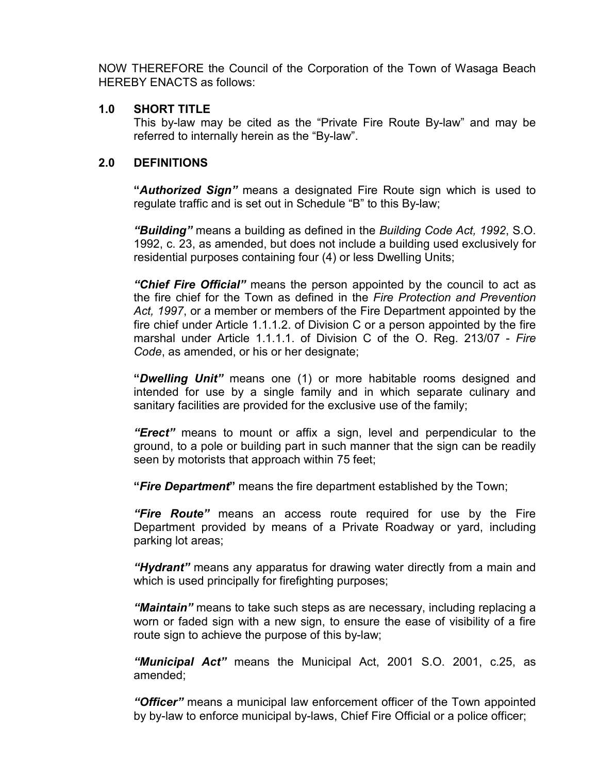NOW THEREFORE the Council of the Corporation of the Town of Wasaga Beach HEREBY ENACTS as follows:

### **1.0 SHORT TITLE**

This by-law may be cited as the "Private Fire Route By-law" and may be referred to internally herein as the "By-law".

## **2.0 DEFINITIONS**

**"***Authorized Sign"* means a designated Fire Route sign which is used to regulate traffic and is set out in Schedule "B" to this By-law;

*"Building"* means a building as defined in the *Building Code Act, 1992*, S.O. 1992, c. 23, as amended, but does not include a building used exclusively for residential purposes containing four (4) or less Dwelling Units;

*"Chief Fire Official"* means the person appointed by the council to act as the fire chief for the Town as defined in the *Fire Protection and Prevention Act, 1997*, or a member or members of the Fire Department appointed by the fire chief under Article 1.1.1.2. of Division C or a person appointed by the fire marshal under Article 1.1.1.1. of Division C of the O. Reg. 213/07 - *Fire Code*, as amended, or his or her designate;

**"***Dwelling Unit"* means one (1) or more habitable rooms designed and intended for use by a single family and in which separate culinary and sanitary facilities are provided for the exclusive use of the family;

*"Erect"* means to mount or affix a sign, level and perpendicular to the ground, to a pole or building part in such manner that the sign can be readily seen by motorists that approach within 75 feet;

**"***Fire Department***"** means the fire department established by the Town;

*"Fire Route"* means an access route required for use by the Fire Department provided by means of a Private Roadway or yard, including parking lot areas;

*"Hydrant"* means any apparatus for drawing water directly from a main and which is used principally for firefighting purposes;

*"Maintain"* means to take such steps as are necessary, including replacing a worn or faded sign with a new sign, to ensure the ease of visibility of a fire route sign to achieve the purpose of this by-law;

*"Municipal Act"* means the Municipal Act, 2001 S.O. 2001, c.25, as amended;

*"Officer"* means a municipal law enforcement officer of the Town appointed by by-law to enforce municipal by-laws, Chief Fire Official or a police officer;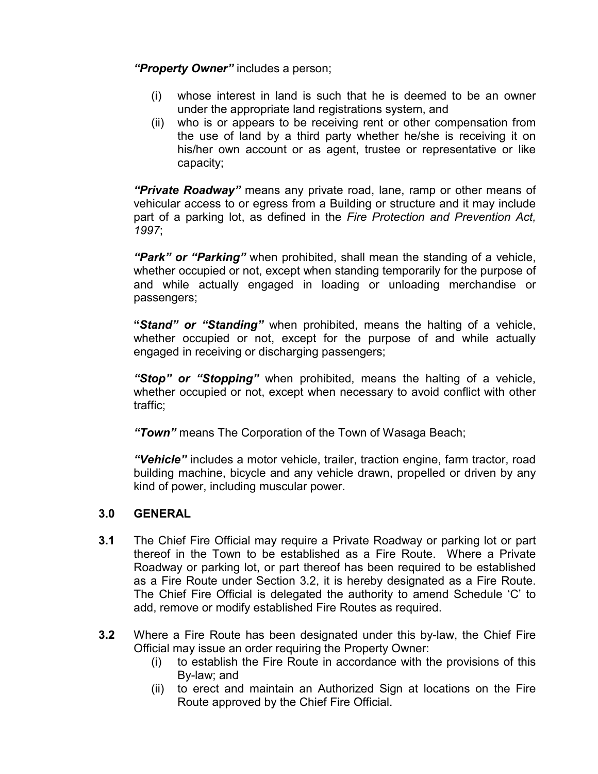*"Property Owner"* includes a person;

- (i) whose interest in land is such that he is deemed to be an owner under the appropriate land registrations system, and
- (ii) who is or appears to be receiving rent or other compensation from the use of land by a third party whether he/she is receiving it on his/her own account or as agent, trustee or representative or like capacity;

*"Private Roadway"* means any private road, lane, ramp or other means of vehicular access to or egress from a Building or structure and it may include part of a parking lot, as defined in the *Fire Protection and Prevention Act, 1997*;

*"Park" or "Parking"* when prohibited, shall mean the standing of a vehicle, whether occupied or not, except when standing temporarily for the purpose of and while actually engaged in loading or unloading merchandise or passengers;

**"***Stand" or "Standing"* when prohibited, means the halting of a vehicle, whether occupied or not, except for the purpose of and while actually engaged in receiving or discharging passengers;

*"Stop" or "Stopping"* when prohibited, means the halting of a vehicle, whether occupied or not, except when necessary to avoid conflict with other traffic;

*"Town"* means The Corporation of the Town of Wasaga Beach;

*"Vehicle"* includes a motor vehicle, trailer, traction engine, farm tractor, road building machine, bicycle and any vehicle drawn, propelled or driven by any kind of power, including muscular power.

## **3.0 GENERAL**

- **3.1** The Chief Fire Official may require a Private Roadway or parking lot or part thereof in the Town to be established as a Fire Route. Where a Private Roadway or parking lot, or part thereof has been required to be established as a Fire Route under Section 3.2, it is hereby designated as a Fire Route. The Chief Fire Official is delegated the authority to amend Schedule 'C' to add, remove or modify established Fire Routes as required.
- **3.2** Where a Fire Route has been designated under this by-law, the Chief Fire Official may issue an order requiring the Property Owner:
	- (i) to establish the Fire Route in accordance with the provisions of this By-law; and
	- (ii) to erect and maintain an Authorized Sign at locations on the Fire Route approved by the Chief Fire Official.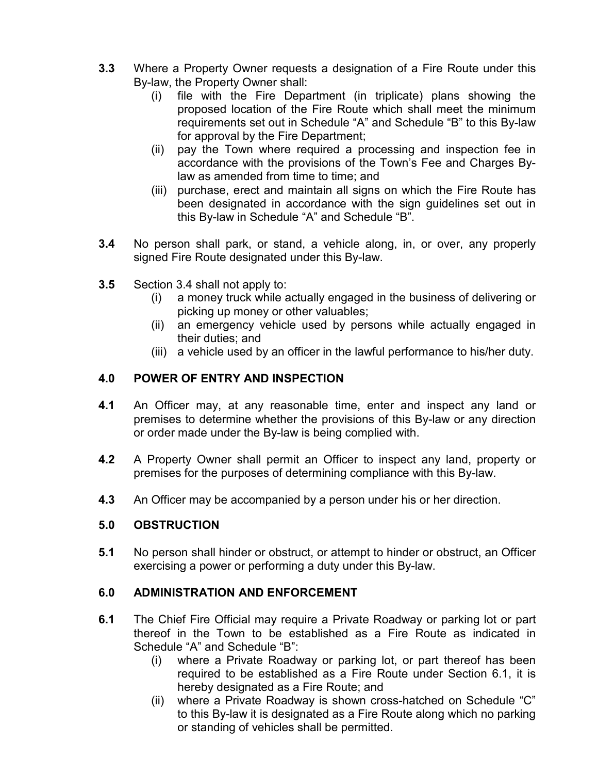- **3.3** Where a Property Owner requests a designation of a Fire Route under this By-law, the Property Owner shall:
	- (i) file with the Fire Department (in triplicate) plans showing the proposed location of the Fire Route which shall meet the minimum requirements set out in Schedule "A" and Schedule "B" to this By-law for approval by the Fire Department;
	- (ii) pay the Town where required a processing and inspection fee in accordance with the provisions of the Town's Fee and Charges Bylaw as amended from time to time; and
	- (iii) purchase, erect and maintain all signs on which the Fire Route has been designated in accordance with the sign guidelines set out in this By-law in Schedule "A" and Schedule "B".
- **3.4** No person shall park, or stand, a vehicle along, in, or over, any properly signed Fire Route designated under this By-law.
- **3.5** Section 3.4 shall not apply to:
	- (i) a money truck while actually engaged in the business of delivering or picking up money or other valuables;
	- (ii) an emergency vehicle used by persons while actually engaged in their duties; and
	- (iii) a vehicle used by an officer in the lawful performance to his/her duty.

# **4.0 POWER OF ENTRY AND INSPECTION**

- **4.1** An Officer may, at any reasonable time, enter and inspect any land or premises to determine whether the provisions of this By-law or any direction or order made under the By-law is being complied with.
- **4.2** A Property Owner shall permit an Officer to inspect any land, property or premises for the purposes of determining compliance with this By-law.
- **4.3** An Officer may be accompanied by a person under his or her direction.

## **5.0 OBSTRUCTION**

**5.1** No person shall hinder or obstruct, or attempt to hinder or obstruct, an Officer exercising a power or performing a duty under this By-law.

## **6.0 ADMINISTRATION AND ENFORCEMENT**

- **6.1** The Chief Fire Official may require a Private Roadway or parking lot or part thereof in the Town to be established as a Fire Route as indicated in Schedule "A" and Schedule "B":
	- (i) where a Private Roadway or parking lot, or part thereof has been required to be established as a Fire Route under Section 6.1, it is hereby designated as a Fire Route; and
	- (ii) where a Private Roadway is shown cross-hatched on Schedule "C" to this By-law it is designated as a Fire Route along which no parking or standing of vehicles shall be permitted.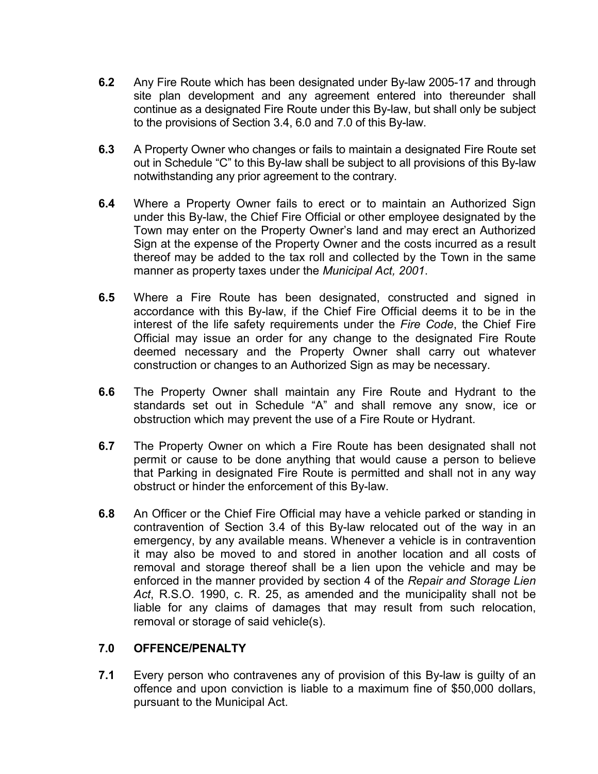- **6.2** Any Fire Route which has been designated under By-law 2005-17 and through site plan development and any agreement entered into thereunder shall continue as a designated Fire Route under this By-law, but shall only be subject to the provisions of Section 3.4, 6.0 and 7.0 of this By-law.
- **6.3** A Property Owner who changes or fails to maintain a designated Fire Route set out in Schedule "C" to this By-law shall be subject to all provisions of this By-law notwithstanding any prior agreement to the contrary.
- **6.4** Where a Property Owner fails to erect or to maintain an Authorized Sign under this By-law, the Chief Fire Official or other employee designated by the Town may enter on the Property Owner's land and may erect an Authorized Sign at the expense of the Property Owner and the costs incurred as a result thereof may be added to the tax roll and collected by the Town in the same manner as property taxes under the *Municipal Act, 2001*.
- **6.5** Where a Fire Route has been designated, constructed and signed in accordance with this By-law, if the Chief Fire Official deems it to be in the interest of the life safety requirements under the *Fire Code*, the Chief Fire Official may issue an order for any change to the designated Fire Route deemed necessary and the Property Owner shall carry out whatever construction or changes to an Authorized Sign as may be necessary.
- **6.6** The Property Owner shall maintain any Fire Route and Hydrant to the standards set out in Schedule "A" and shall remove any snow, ice or obstruction which may prevent the use of a Fire Route or Hydrant.
- **6.7** The Property Owner on which a Fire Route has been designated shall not permit or cause to be done anything that would cause a person to believe that Parking in designated Fire Route is permitted and shall not in any way obstruct or hinder the enforcement of this By-law.
- **6.8** An Officer or the Chief Fire Official may have a vehicle parked or standing in contravention of Section 3.4 of this By-law relocated out of the way in an emergency, by any available means. Whenever a vehicle is in contravention it may also be moved to and stored in another location and all costs of removal and storage thereof shall be a lien upon the vehicle and may be enforced in the manner provided by section 4 of the *Repair and Storage Lien Act*, R.S.O. 1990, c. R. 25, as amended and the municipality shall not be liable for any claims of damages that may result from such relocation, removal or storage of said vehicle(s).

### **7.0 OFFENCE/PENALTY**

**7.1** Every person who contravenes any of provision of this By-law is guilty of an offence and upon conviction is liable to a maximum fine of \$50,000 dollars, pursuant to the Municipal Act.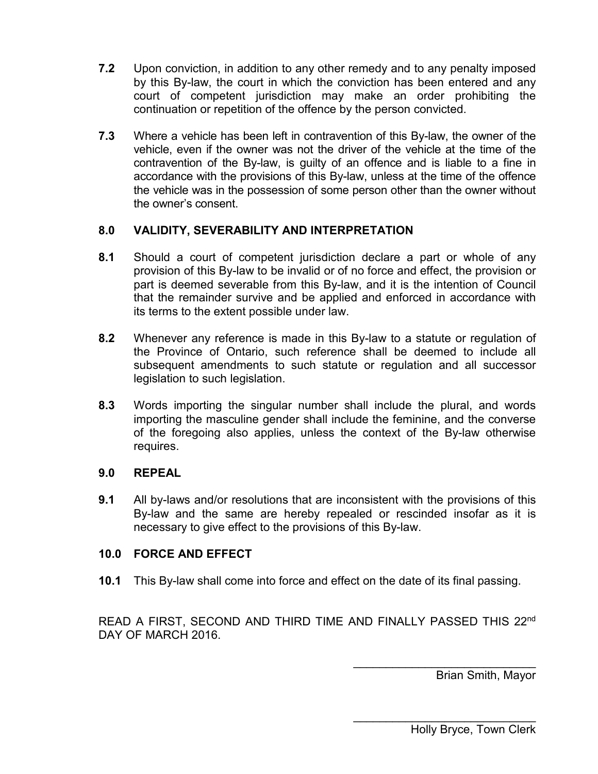- **7.2** Upon conviction, in addition to any other remedy and to any penalty imposed by this By-law, the court in which the conviction has been entered and any court of competent jurisdiction may make an order prohibiting the continuation or repetition of the offence by the person convicted.
- **7.3** Where a vehicle has been left in contravention of this By-law, the owner of the vehicle, even if the owner was not the driver of the vehicle at the time of the contravention of the By-law, is guilty of an offence and is liable to a fine in accordance with the provisions of this By-law, unless at the time of the offence the vehicle was in the possession of some person other than the owner without the owner's consent.

## **8.0 VALIDITY, SEVERABILITY AND INTERPRETATION**

- **8.1** Should a court of competent jurisdiction declare a part or whole of any provision of this By-law to be invalid or of no force and effect, the provision or part is deemed severable from this By-law, and it is the intention of Council that the remainder survive and be applied and enforced in accordance with its terms to the extent possible under law.
- **8.2** Whenever any reference is made in this By-law to a statute or regulation of the Province of Ontario, such reference shall be deemed to include all subsequent amendments to such statute or regulation and all successor legislation to such legislation.
- **8.3** Words importing the singular number shall include the plural, and words importing the masculine gender shall include the feminine, and the converse of the foregoing also applies, unless the context of the By-law otherwise requires.

### **9.0 REPEAL**

**9.1** All by-laws and/or resolutions that are inconsistent with the provisions of this By-law and the same are hereby repealed or rescinded insofar as it is necessary to give effect to the provisions of this By-law.

## **10.0 FORCE AND EFFECT**

**10.1** This By-law shall come into force and effect on the date of its final passing.

READ A FIRST, SECOND AND THIRD TIME AND FINALLY PASSED THIS 22nd DAY OF MARCH 2016.

> \_\_\_\_\_\_\_\_\_\_\_\_\_\_\_\_\_\_\_\_\_\_\_\_\_\_\_\_ Brian Smith, Mayor

\_\_\_\_\_\_\_\_\_\_\_\_\_\_\_\_\_\_\_\_\_\_\_\_\_\_\_\_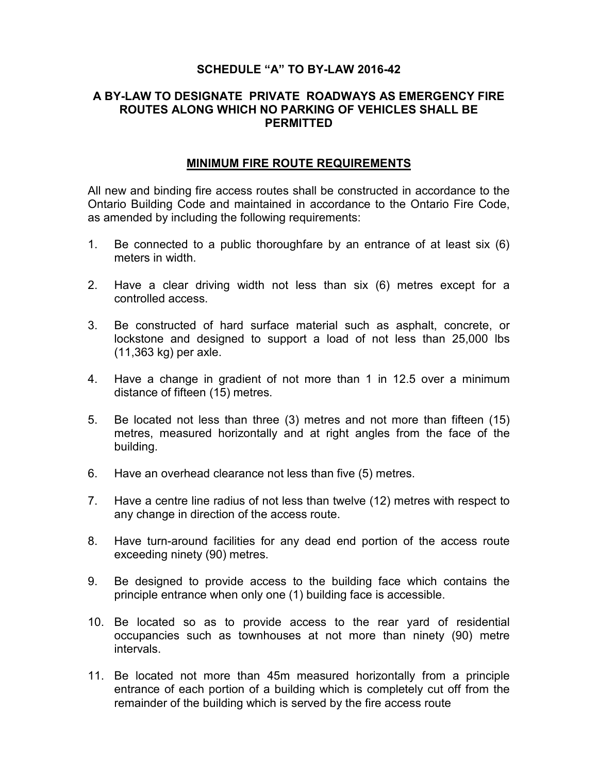### **A BY-LAW TO DESIGNATE PRIVATE ROADWAYS AS EMERGENCY FIRE ROUTES ALONG WHICH NO PARKING OF VEHICLES SHALL BE PERMITTED**

### **MINIMUM FIRE ROUTE REQUIREMENTS**

All new and binding fire access routes shall be constructed in accordance to the Ontario Building Code and maintained in accordance to the Ontario Fire Code, as amended by including the following requirements:

- 1. Be connected to a public thoroughfare by an entrance of at least six (6) meters in width.
- 2. Have a clear driving width not less than six (6) metres except for a controlled access.
- 3. Be constructed of hard surface material such as asphalt, concrete, or lockstone and designed to support a load of not less than 25,000 lbs (11,363 kg) per axle.
- 4. Have a change in gradient of not more than 1 in 12.5 over a minimum distance of fifteen (15) metres.
- 5. Be located not less than three (3) metres and not more than fifteen (15) metres, measured horizontally and at right angles from the face of the building.
- 6. Have an overhead clearance not less than five (5) metres.
- 7. Have a centre line radius of not less than twelve (12) metres with respect to any change in direction of the access route.
- 8. Have turn-around facilities for any dead end portion of the access route exceeding ninety (90) metres.
- 9. Be designed to provide access to the building face which contains the principle entrance when only one (1) building face is accessible.
- 10. Be located so as to provide access to the rear yard of residential occupancies such as townhouses at not more than ninety (90) metre intervals.
- 11. Be located not more than 45m measured horizontally from a principle entrance of each portion of a building which is completely cut off from the remainder of the building which is served by the fire access route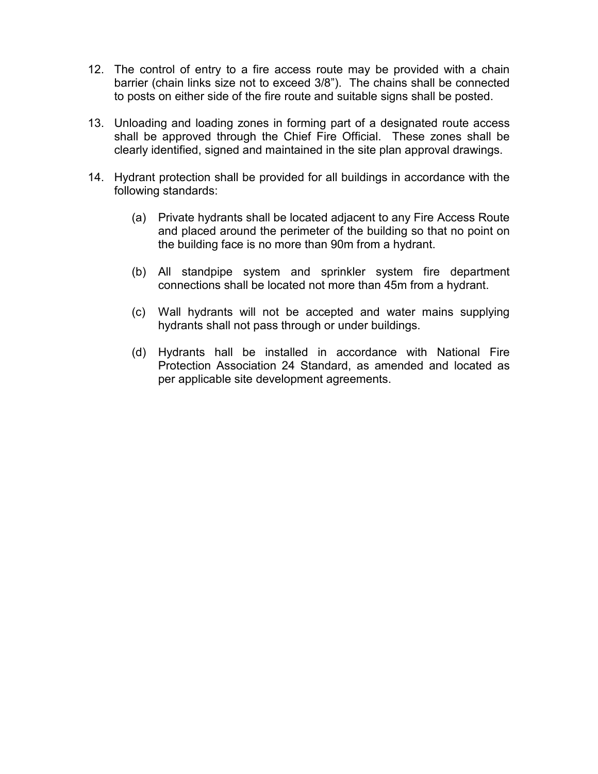- 12. The control of entry to a fire access route may be provided with a chain barrier (chain links size not to exceed 3/8"). The chains shall be connected to posts on either side of the fire route and suitable signs shall be posted.
- 13. Unloading and loading zones in forming part of a designated route access shall be approved through the Chief Fire Official. These zones shall be clearly identified, signed and maintained in the site plan approval drawings.
- 14. Hydrant protection shall be provided for all buildings in accordance with the following standards:
	- (a) Private hydrants shall be located adjacent to any Fire Access Route and placed around the perimeter of the building so that no point on the building face is no more than 90m from a hydrant.
	- (b) All standpipe system and sprinkler system fire department connections shall be located not more than 45m from a hydrant.
	- (c) Wall hydrants will not be accepted and water mains supplying hydrants shall not pass through or under buildings.
	- (d) Hydrants hall be installed in accordance with National Fire Protection Association 24 Standard, as amended and located as per applicable site development agreements.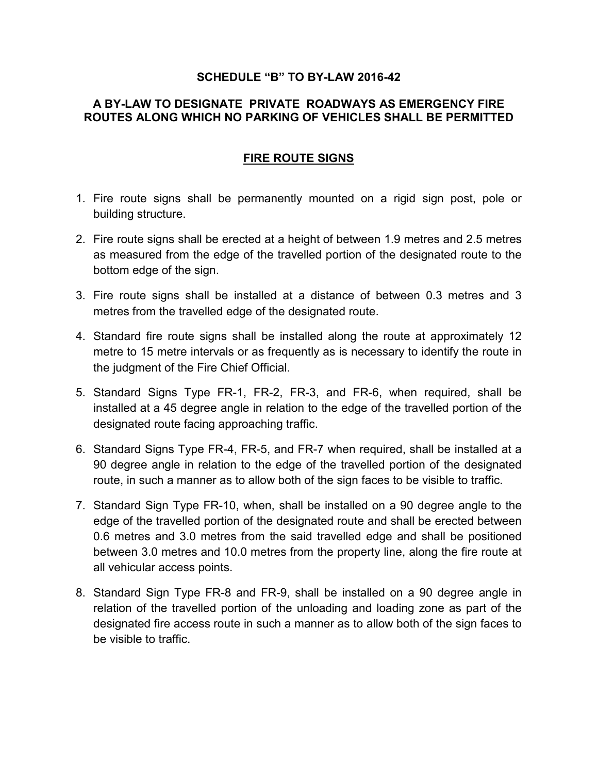## **A BY-LAW TO DESIGNATE PRIVATE ROADWAYS AS EMERGENCY FIRE ROUTES ALONG WHICH NO PARKING OF VEHICLES SHALL BE PERMITTED**

## **FIRE ROUTE SIGNS**

- 1. Fire route signs shall be permanently mounted on a rigid sign post, pole or building structure.
- 2. Fire route signs shall be erected at a height of between 1.9 metres and 2.5 metres as measured from the edge of the travelled portion of the designated route to the bottom edge of the sign.
- 3. Fire route signs shall be installed at a distance of between 0.3 metres and 3 metres from the travelled edge of the designated route.
- 4. Standard fire route signs shall be installed along the route at approximately 12 metre to 15 metre intervals or as frequently as is necessary to identify the route in the judgment of the Fire Chief Official.
- 5. Standard Signs Type FR-1, FR-2, FR-3, and FR-6, when required, shall be installed at a 45 degree angle in relation to the edge of the travelled portion of the designated route facing approaching traffic.
- 6. Standard Signs Type FR-4, FR-5, and FR-7 when required, shall be installed at a 90 degree angle in relation to the edge of the travelled portion of the designated route, in such a manner as to allow both of the sign faces to be visible to traffic.
- 7. Standard Sign Type FR-10, when, shall be installed on a 90 degree angle to the edge of the travelled portion of the designated route and shall be erected between 0.6 metres and 3.0 metres from the said travelled edge and shall be positioned between 3.0 metres and 10.0 metres from the property line, along the fire route at all vehicular access points.
- 8. Standard Sign Type FR-8 and FR-9, shall be installed on a 90 degree angle in relation of the travelled portion of the unloading and loading zone as part of the designated fire access route in such a manner as to allow both of the sign faces to be visible to traffic.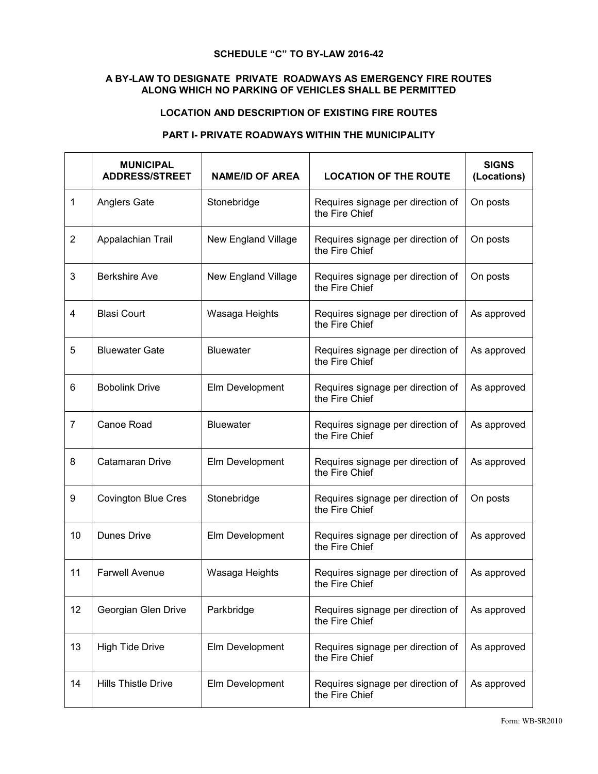#### **A BY-LAW TO DESIGNATE PRIVATE ROADWAYS AS EMERGENCY FIRE ROUTES ALONG WHICH NO PARKING OF VEHICLES SHALL BE PERMITTED**

#### **LOCATION AND DESCRIPTION OF EXISTING FIRE ROUTES**

#### **PART I- PRIVATE ROADWAYS WITHIN THE MUNICIPALITY**

|                | <b>MUNICIPAL</b><br><b>ADDRESS/STREET</b> | <b>NAME/ID OF AREA</b> | <b>LOCATION OF THE ROUTE</b>                        | <b>SIGNS</b><br>(Locations) |
|----------------|-------------------------------------------|------------------------|-----------------------------------------------------|-----------------------------|
| 1              | <b>Anglers Gate</b>                       | Stonebridge            | Requires signage per direction of<br>the Fire Chief | On posts                    |
| $\overline{2}$ | Appalachian Trail                         | New England Village    | Requires signage per direction of<br>the Fire Chief | On posts                    |
| 3              | <b>Berkshire Ave</b>                      | New England Village    | Requires signage per direction of<br>the Fire Chief | On posts                    |
| 4              | <b>Blasi Court</b>                        | Wasaga Heights         | Requires signage per direction of<br>the Fire Chief | As approved                 |
| 5              | <b>Bluewater Gate</b>                     | <b>Bluewater</b>       | Requires signage per direction of<br>the Fire Chief | As approved                 |
| 6              | <b>Bobolink Drive</b>                     | Elm Development        | Requires signage per direction of<br>the Fire Chief | As approved                 |
| $\overline{7}$ | Canoe Road                                | <b>Bluewater</b>       | Requires signage per direction of<br>the Fire Chief | As approved                 |
| 8              | <b>Catamaran Drive</b>                    | Elm Development        | Requires signage per direction of<br>the Fire Chief | As approved                 |
| 9              | <b>Covington Blue Cres</b>                | Stonebridge            | Requires signage per direction of<br>the Fire Chief | On posts                    |
| 10             | <b>Dunes Drive</b>                        | Elm Development        | Requires signage per direction of<br>the Fire Chief | As approved                 |
| 11             | <b>Farwell Avenue</b>                     | Wasaga Heights         | Requires signage per direction of<br>the Fire Chief | As approved                 |
| 12             | Georgian Glen Drive                       | Parkbridge             | Requires signage per direction of<br>the Fire Chief | As approved                 |
| 13             | <b>High Tide Drive</b>                    | Elm Development        | Requires signage per direction of<br>the Fire Chief | As approved                 |
| 14             | <b>Hills Thistle Drive</b>                | Elm Development        | Requires signage per direction of<br>the Fire Chief | As approved                 |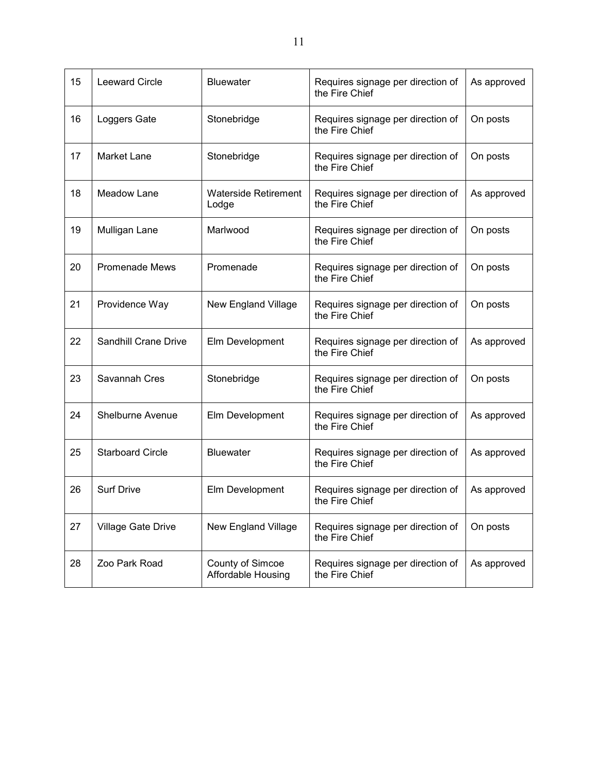| 15 | <b>Leeward Circle</b>       | <b>Bluewater</b>                       | Requires signage per direction of<br>the Fire Chief | As approved |
|----|-----------------------------|----------------------------------------|-----------------------------------------------------|-------------|
| 16 | Loggers Gate                | Stonebridge                            | Requires signage per direction of<br>the Fire Chief | On posts    |
| 17 | <b>Market Lane</b>          | Stonebridge                            | Requires signage per direction of<br>the Fire Chief | On posts    |
| 18 | Meadow Lane                 | <b>Waterside Retirement</b><br>Lodge   | Requires signage per direction of<br>the Fire Chief | As approved |
| 19 | Mulligan Lane               | Marlwood                               | Requires signage per direction of<br>the Fire Chief | On posts    |
| 20 | <b>Promenade Mews</b>       | Promenade                              | Requires signage per direction of<br>the Fire Chief | On posts    |
| 21 | Providence Way              | New England Village                    | Requires signage per direction of<br>the Fire Chief | On posts    |
| 22 | <b>Sandhill Crane Drive</b> | Elm Development                        | Requires signage per direction of<br>the Fire Chief | As approved |
| 23 | Savannah Cres               | Stonebridge                            | Requires signage per direction of<br>the Fire Chief | On posts    |
| 24 | Shelburne Avenue            | Elm Development                        | Requires signage per direction of<br>the Fire Chief | As approved |
| 25 | <b>Starboard Circle</b>     | <b>Bluewater</b>                       | Requires signage per direction of<br>the Fire Chief | As approved |
| 26 | <b>Surf Drive</b>           | Elm Development                        | Requires signage per direction of<br>the Fire Chief | As approved |
| 27 | Village Gate Drive          | New England Village                    | Requires signage per direction of<br>the Fire Chief | On posts    |
| 28 | Zoo Park Road               | County of Simcoe<br>Affordable Housing | Requires signage per direction of<br>the Fire Chief | As approved |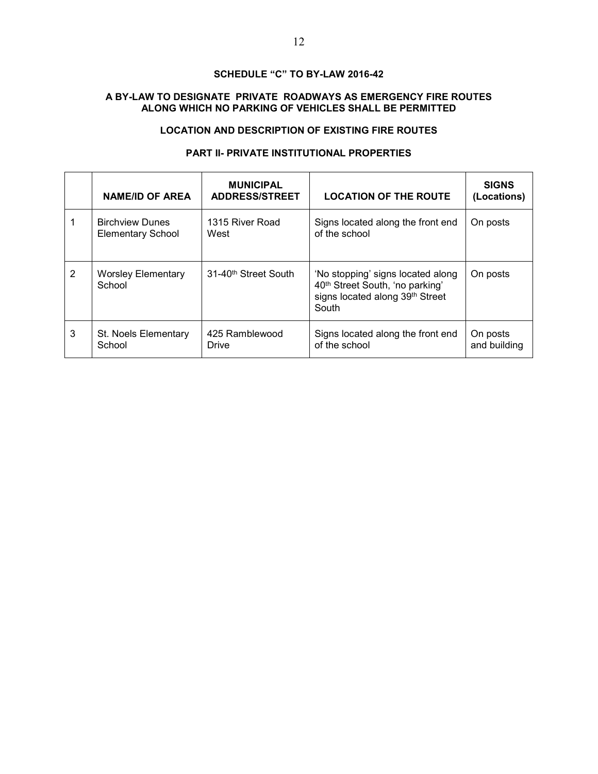#### **A BY-LAW TO DESIGNATE PRIVATE ROADWAYS AS EMERGENCY FIRE ROUTES ALONG WHICH NO PARKING OF VEHICLES SHALL BE PERMITTED**

### **LOCATION AND DESCRIPTION OF EXISTING FIRE ROUTES**

#### **PART II- PRIVATE INSTITUTIONAL PROPERTIES**

|   | <b>NAME/ID OF AREA</b>                             | <b>MUNICIPAL</b><br><b>ADDRESS/STREET</b> | <b>LOCATION OF THE ROUTE</b>                                                                                                 | <b>SIGNS</b><br>(Locations) |
|---|----------------------------------------------------|-------------------------------------------|------------------------------------------------------------------------------------------------------------------------------|-----------------------------|
|   | <b>Birchview Dunes</b><br><b>Elementary School</b> | 1315 River Road<br>West                   | Signs located along the front end<br>of the school                                                                           | On posts                    |
| 2 | Worsley Elementary<br>School                       | 31-40 <sup>th</sup> Street South          | 'No stopping' signs located along<br>40 <sup>th</sup> Street South, 'no parking'<br>signs located along 39th Street<br>South | On posts                    |
| 3 | St. Noels Elementary<br>School                     | 425 Ramblewood<br>Drive                   | Signs located along the front end<br>of the school                                                                           | On posts<br>and building    |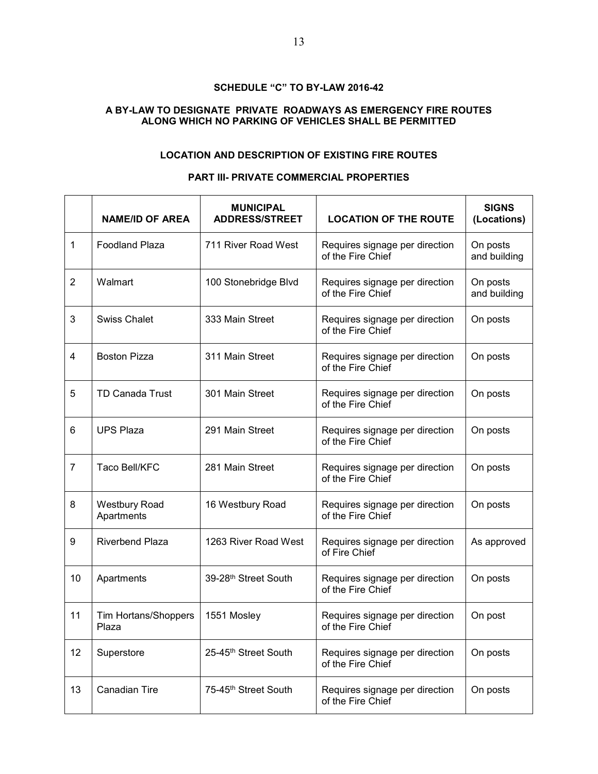#### **A BY-LAW TO DESIGNATE PRIVATE ROADWAYS AS EMERGENCY FIRE ROUTES ALONG WHICH NO PARKING OF VEHICLES SHALL BE PERMITTED**

#### **LOCATION AND DESCRIPTION OF EXISTING FIRE ROUTES**

#### **PART III- PRIVATE COMMERCIAL PROPERTIES**

|                | <b>NAME/ID OF AREA</b>             | <b>MUNICIPAL</b><br><b>ADDRESS/STREET</b> | <b>LOCATION OF THE ROUTE</b>                        | <b>SIGNS</b><br>(Locations) |
|----------------|------------------------------------|-------------------------------------------|-----------------------------------------------------|-----------------------------|
| 1              | <b>Foodland Plaza</b>              | 711 River Road West                       | Requires signage per direction<br>of the Fire Chief | On posts<br>and building    |
| $\overline{2}$ | Walmart                            | 100 Stonebridge Blvd                      | Requires signage per direction<br>of the Fire Chief | On posts<br>and building    |
| 3              | <b>Swiss Chalet</b>                | 333 Main Street                           | Requires signage per direction<br>of the Fire Chief | On posts                    |
| 4              | <b>Boston Pizza</b>                | 311 Main Street                           | Requires signage per direction<br>of the Fire Chief | On posts                    |
| 5              | <b>TD Canada Trust</b>             | 301 Main Street                           | Requires signage per direction<br>of the Fire Chief | On posts                    |
| 6              | <b>UPS Plaza</b>                   | 291 Main Street                           | Requires signage per direction<br>of the Fire Chief | On posts                    |
| $\overline{7}$ | Taco Bell/KFC                      | 281 Main Street                           | Requires signage per direction<br>of the Fire Chief | On posts                    |
| 8              | <b>Westbury Road</b><br>Apartments | 16 Westbury Road                          | Requires signage per direction<br>of the Fire Chief | On posts                    |
| 9              | <b>Riverbend Plaza</b>             | 1263 River Road West                      | Requires signage per direction<br>of Fire Chief     | As approved                 |
| 10             | Apartments                         | 39-28th Street South                      | Requires signage per direction<br>of the Fire Chief | On posts                    |
| 11             | Tim Hortans/Shoppers<br>Plaza      | 1551 Mosley                               | Requires signage per direction<br>of the Fire Chief | On post                     |
| 12             | Superstore                         | 25-45th Street South                      | Requires signage per direction<br>of the Fire Chief | On posts                    |
| 13             | <b>Canadian Tire</b>               | 75-45th Street South                      | Requires signage per direction<br>of the Fire Chief | On posts                    |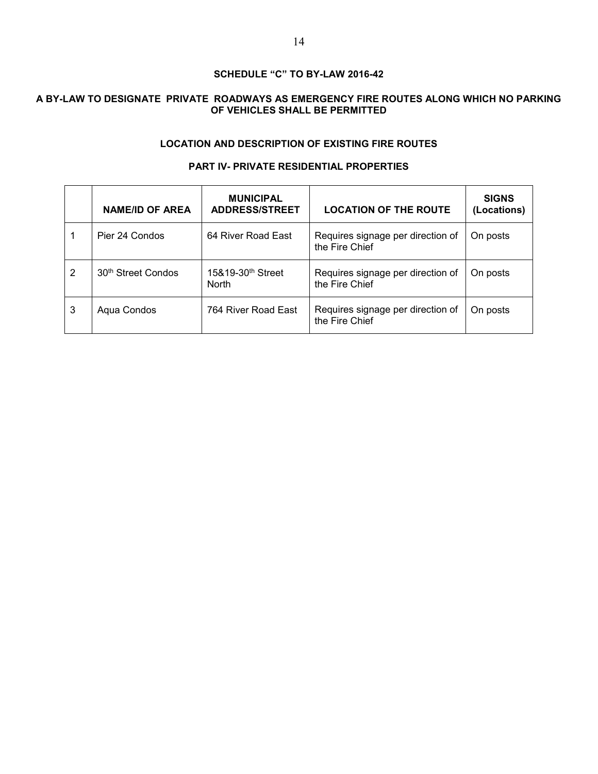### **A BY-LAW TO DESIGNATE PRIVATE ROADWAYS AS EMERGENCY FIRE ROUTES ALONG WHICH NO PARKING OF VEHICLES SHALL BE PERMITTED**

#### **LOCATION AND DESCRIPTION OF EXISTING FIRE ROUTES**

#### **PART IV- PRIVATE RESIDENTIAL PROPERTIES**

|   | <b>NAME/ID OF AREA</b>         | <b>MUNICIPAL</b><br><b>ADDRESS/STREET</b>     | <b>LOCATION OF THE ROUTE</b>                        | <b>SIGNS</b><br>(Locations) |
|---|--------------------------------|-----------------------------------------------|-----------------------------------------------------|-----------------------------|
|   | Pier 24 Condos                 | 64 River Road East                            | Requires signage per direction of<br>the Fire Chief | On posts                    |
| 2 | 30 <sup>th</sup> Street Condos | 15&19-30 <sup>th</sup> Street<br><b>North</b> | Requires signage per direction of<br>the Fire Chief | On posts                    |
| 3 | Aqua Condos                    | 764 River Road East                           | Requires signage per direction of<br>the Fire Chief | On posts                    |